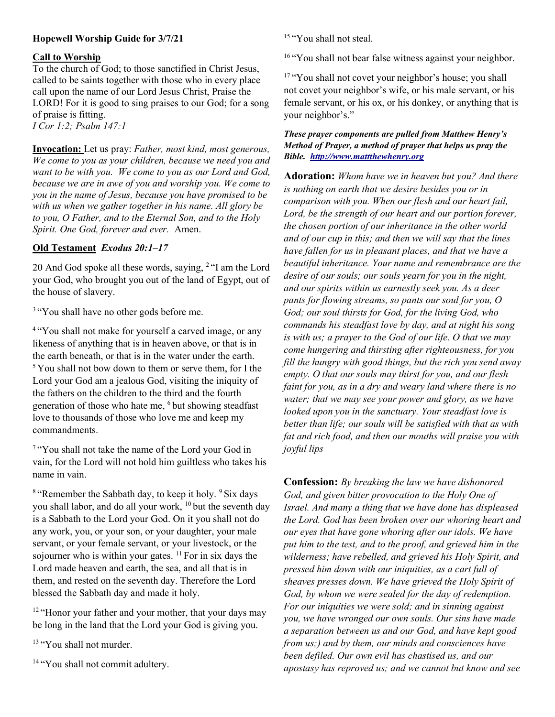# Hopewell Worship Guide for 3/7/21

#### Call to Worship

To the church of God; to those sanctified in Christ Jesus, called to be saints together with those who in every place call upon the name of our Lord Jesus Christ, Praise the LORD! For it is good to sing praises to our God; for a song of praise is fitting. I Cor 1:2; Psalm 147:1

Invocation: Let us pray: Father, most kind, most generous, We come to you as your children, because we need you and want to be with you. We come to you as our Lord and God, because we are in awe of you and worship you. We come to you in the name of Jesus, because you have promised to be with us when we gather together in his name. All glory be to you, O Father, and to the Eternal Son, and to the Holy Spirit. One God, forever and ever. Amen.

## Old Testament Exodus 20:1–17

20 And God spoke all these words, saying, <sup>2</sup>"I am the Lord your God, who brought you out of the land of Egypt, out of the house of slavery.

<sup>3</sup> "You shall have no other gods before me.

<sup>4</sup> "You shall not make for yourself a carved image, or any likeness of anything that is in heaven above, or that is in the earth beneath, or that is in the water under the earth. <sup>5</sup>You shall not bow down to them or serve them, for I the Lord your God am a jealous God, visiting the iniquity of the fathers on the children to the third and the fourth generation of those who hate me, <sup>6</sup>but showing steadfast love to thousands of those who love me and keep my commandments.

<sup>7</sup>"You shall not take the name of the Lord your God in vain, for the Lord will not hold him guiltless who takes his name in vain.

 $8$  "Remember the Sabbath day, to keep it holy.  $9$  Six days you shall labor, and do all your work, <sup>10</sup> but the seventh day is a Sabbath to the Lord your God. On it you shall not do any work, you, or your son, or your daughter, your male servant, or your female servant, or your livestock, or the sojourner who is within your gates.  $^{11}$  For in six days the Lord made heaven and earth, the sea, and all that is in them, and rested on the seventh day. Therefore the Lord blessed the Sabbath day and made it holy.

<sup>12</sup> "Honor your father and your mother, that your days may be long in the land that the Lord your God is giving you.

<sup>13</sup> "You shall not murder.

<sup>14</sup> "You shall not commit adultery.

<sup>15</sup> "You shall not steal.

<sup>16</sup> "You shall not bear false witness against your neighbor.

<sup>17</sup> "You shall not covet your neighbor's house; you shall not covet your neighbor's wife, or his male servant, or his female servant, or his ox, or his donkey, or anything that is your neighbor's."

### These prayer components are pulled from Matthew Henry's Method of Prayer, a method of prayer that helps us pray the Bible. http://www.mattthewhenry.org

Adoration: Whom have we in heaven but you? And there is nothing on earth that we desire besides you or in comparison with you. When our flesh and our heart fail, Lord, be the strength of our heart and our portion forever, the chosen portion of our inheritance in the other world and of our cup in this; and then we will say that the lines have fallen for us in pleasant places, and that we have a beautiful inheritance. Your name and remembrance are the desire of our souls; our souls yearn for you in the night, and our spirits within us earnestly seek you. As a deer pants for flowing streams, so pants our soul for you, O God; our soul thirsts for God, for the living God, who commands his steadfast love by day, and at night his song is with us; a prayer to the God of our life. O that we may come hungering and thirsting after righteousness, for you fill the hungry with good things, but the rich you send away empty. O that our souls may thirst for you, and our flesh faint for you, as in a dry and weary land where there is no water; that we may see your power and glory, as we have looked upon you in the sanctuary. Your steadfast love is better than life; our souls will be satisfied with that as with fat and rich food, and then our mouths will praise you with joyful lips

**Confession:** By breaking the law we have dishonored God, and given bitter provocation to the Holy One of Israel. And many a thing that we have done has displeased the Lord. God has been broken over our whoring heart and our eyes that have gone whoring after our idols. We have put him to the test, and to the proof, and grieved him in the wilderness; have rebelled, and grieved his Holy Spirit, and pressed him down with our iniquities, as a cart full of sheaves presses down. We have grieved the Holy Spirit of God, by whom we were sealed for the day of redemption. For our iniquities we were sold; and in sinning against you, we have wronged our own souls. Our sins have made a separation between us and our God, and have kept good from us;) and by them, our minds and consciences have been defiled. Our own evil has chastised us, and our apostasy has reproved us; and we cannot but know and see